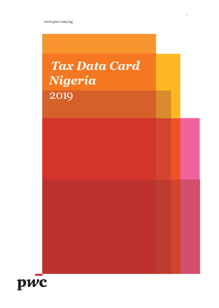# *Tax Data Card Nigeria* 2019

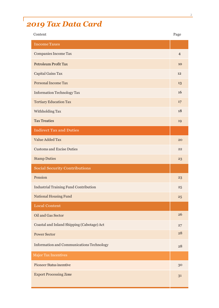# *2019 Tax Data Card*

ſ

| Content                                          | Page            |
|--------------------------------------------------|-----------------|
| <b>Income Taxes</b>                              |                 |
| <b>Companies Income Tax</b>                      | $\overline{4}$  |
| <b>Petroleum Profit Tax</b>                      | 10              |
| Capital Gains Tax                                | 12              |
| Personal Income Tax                              | 13              |
| <b>Information Technology Tax</b>                | 16              |
| <b>Tertiary Education Tax</b>                    | 17              |
| Withholding Tax                                  | 18              |
| <b>Tax Treaties</b>                              | 19              |
| <b>Indirect Tax and Duties</b>                   |                 |
| <b>Value Added Tax</b>                           | 20              |
| <b>Customs and Excise Duties</b>                 | 22              |
| <b>Stamp Duties</b>                              | 23              |
| <b>Social Security Contributions</b>             |                 |
| Pension                                          | 23              |
| <b>Industrial Training Fund Contribution</b>     | 25              |
| National Housing Fund                            | $25\phantom{.}$ |
| <b>Local Content</b>                             |                 |
| Oil and Gas Sector                               | 26              |
| Coastal and Inland Shipping (Cabotage) Act       | 27              |
| <b>Power Sector</b>                              | 28              |
| <b>Information and Communications Technology</b> | 28              |
| <b>Major Tax Incentives</b>                      |                 |
| <b>Pioneer Status incentive</b>                  | 30              |
| <b>Export Processing Zone</b>                    | 31              |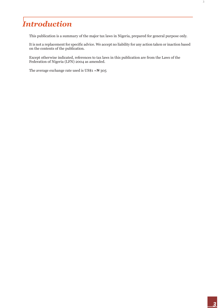# *Introduction*

This publication is a summary of the major tax laws in Nigeria, prepared for general purpose only.

It is not a replacement for specific advice. We accept no liability for any action taken or inaction based on the contents of the publication.

Except otherwise indicated, references to tax laws in this publication are from the Laws of the Federation of Nigeria (LFN) 2004 as amended.

The average exchange rate used is  $US$1 = N305$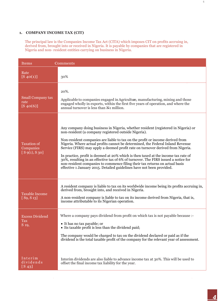#### **1. COMPANY INCOME TAX (CIT)**

The principal law is the Companies Income Tax Act (CITA) which imposes CIT on profits accruing in, derived from, brought into or received in Nigeria. It is payable by companies that are registered in Nigeria and non- resident entities carrying on business in Nigeria.

| Items                                             | Comments                                                                                                                                                                                                                                                                                                                                                                                                                                                                                                                                                                                                                                                                                                                             |
|---------------------------------------------------|--------------------------------------------------------------------------------------------------------------------------------------------------------------------------------------------------------------------------------------------------------------------------------------------------------------------------------------------------------------------------------------------------------------------------------------------------------------------------------------------------------------------------------------------------------------------------------------------------------------------------------------------------------------------------------------------------------------------------------------|
| Rate<br>$[$ S 40(1)]                              | 30%                                                                                                                                                                                                                                                                                                                                                                                                                                                                                                                                                                                                                                                                                                                                  |
| <b>Small Company tax</b><br>rate<br>$[$ S 40(6)]  | 20%.<br>Applicable to companies engaged in Agriculture, manufacturing, mining and those<br>engaged wholly in exports, within the first five years of operation, and where the<br>annual turnover is less than N1 million.                                                                                                                                                                                                                                                                                                                                                                                                                                                                                                            |
| <b>Taxation of</b><br>Companies<br>[S 9(1), S 30] | Any company doing business in Nigeria, whether resident (registered in Nigeria) or<br>non-resident (a company registered outside Nigeria).<br>Non-resident companies are liable to tax on the profit or income derived from<br>Nigeria. Where actual profits cannot be determined, the Federal Inland Revenue<br>Service (FIRS) may apply a deemed profit rate on turnover derived from Nigeria.<br>In practice, profit is deemed at 20% which is then taxed at the income tax rate of<br>30%, resulting in an effective tax of 6% of turnover. The FIRS issued a notice for<br>non-resident companies to commence filing their tax returns on actual basis<br>effective 1 January 2015. Detailed guidelines have not been provided. |
| <b>Taxable Income</b><br>$[$ S9, S 13]            | A resident company is liable to tax on its worldwide income being its profits accruing in,<br>derived from, brought into, and received in Nigeria.<br>A non-resident company is liable to tax on its income derived from Nigeria, that is,<br>income attributable to its Nigerian operation.                                                                                                                                                                                                                                                                                                                                                                                                                                         |
| <b>Excess Dividend</b><br>Tax<br>S 19,            | Where a company pays dividend from profit on which tax is not payable because :-<br>• It has no tax payable; or<br>• Its taxable profit is less than the dividend paid;<br>The company would be charged to tax on the dividend declared or paid as if the<br>dividend is the total taxable profit of the company for the relevant year of assessment.                                                                                                                                                                                                                                                                                                                                                                                |
| Interim<br>dividends<br>[S 43]                    | Interim dividends are also liable to advance income tax at 30%. This will be used to<br>offset the final income tax liability for the year.                                                                                                                                                                                                                                                                                                                                                                                                                                                                                                                                                                                          |

 $\hat{\boldsymbol{\beta}}$ 

4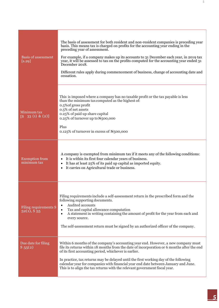| <b>Basis of assessment</b><br>[s.29]                           | The basis of assessment for both resident and non-resident companies is preceding year<br>basis. This means tax is charged on profits for the accounting year ending in the<br>preceding year of assessment.<br>For example, if a company makes up its accounts to 31 December each year, in 2019 tax<br>year, it will be assessed to tax on the profits computed for the accounting year ended 31<br>December 2018.<br>Different rules apply during commencement of business, change of accounting date and<br>cessation. |
|----------------------------------------------------------------|----------------------------------------------------------------------------------------------------------------------------------------------------------------------------------------------------------------------------------------------------------------------------------------------------------------------------------------------------------------------------------------------------------------------------------------------------------------------------------------------------------------------------|
| Minimum tax<br>$\begin{bmatrix} S & 33(1) & (2) \end{bmatrix}$ | This is imposed where a company has no taxable profit or the tax payable is less<br>than the minimum tax computed as the highest of:<br>0.5% of gross profit<br>0.5% of net assets<br>0.25% of paid up share capital<br>0.25% of turnover up to $N_{5}$ 00,000<br>Plus<br>$0.125\%$ of turnover in excess of $N_{5}00,000$                                                                                                                                                                                                 |
| <b>Exemption</b> from<br>minimum tax                           | A company is exempted from minimum tax if it meets any of the following conditions:<br>It is within its first four calendar years of business.<br>It has at least 25% of its paid up capital as imported equity.<br>It carries on Agricultural trade or business.                                                                                                                                                                                                                                                          |
| Filing requirements S<br>$52(1), S_55$                         | Filing requirements include a self-assessment return in the prescribed form and the<br>following supporting documents.<br>Audited accounts<br>$\bullet$<br>Tax and capital allowance computation<br>$\bullet$<br>A statement in writing containing the amount of profit for the year from each and<br>$\bullet$<br>every source.<br>The self-assessment return must be signed by an authorized officer of the company.                                                                                                     |
| Due date for filing<br>$S_{55(2)}$                             | Within 6 months of the company's accounting year end. However, a new company must<br>file its returns within 18 months from the date of incorporation or 6 months after the end<br>of its first accounting period, whichever is earlier.<br>In practice, tax returns may be delayed until the first working day of the following<br>calendar year for companies with financial year end date between January and June.<br>This is to align the tax returns with the relevant government fiscal year.                       |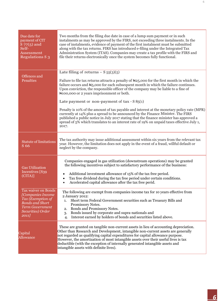| Due date for<br>payment of CIT<br>$S$ 77(5) and<br>Self-<br>Assessment<br><b>Regulations S 3</b>                                                | Two months from the filing due date in case of a lump sum payment or in such<br>instalments as may be approved by the FIRS, not exceeding three instalments. In the<br>case of instalments, evidence of payment of the first instalment must be submitted<br>along with the tax returns. FIRS has introduced e-filing under the Integrated Tax<br>Administration System (ITAS). Companies may create a tax profile with the FIRS and<br>file their returns electronically once the system becomes fully functional.                                                                                                                                                                                                                                                                                                           |
|-------------------------------------------------------------------------------------------------------------------------------------------------|-------------------------------------------------------------------------------------------------------------------------------------------------------------------------------------------------------------------------------------------------------------------------------------------------------------------------------------------------------------------------------------------------------------------------------------------------------------------------------------------------------------------------------------------------------------------------------------------------------------------------------------------------------------------------------------------------------------------------------------------------------------------------------------------------------------------------------|
| Offences and<br>Penalties                                                                                                                       | Late filing of returns $- S_{55}(3)(5)$<br>Failure to file tax returns attracts a penalty of $\frac{1}{25,000}$ for the first month in which the<br>failure occurs and $\mathbb{H}_5$ ,000 for each subsequent month in which the failure continues.<br>Upon conviction, the responsible officer of the company may be liable to a fine of<br>Notice of 2 years imprisonment or both.<br>Late payment or non-payment of $tax - S85(1)$<br>Penalty is 10% of the amount of tax payable and interest at the monetary policy rate (MPR)<br>currently at 14% plus a spread to be announced by the Finance Minister. The FIRS<br>published a public notice in July 2017 stating that the finance minister has approved a<br>spread of $5\%$ which translates to an interest rate of 19% on unpaid taxes effective July 1,<br>2017. |
| <b>Statute of limitations</b><br>S 66                                                                                                           | The tax authority may issue additional assessment within six years from the relevant tax<br>year. However, the limitation does not apply in the event of a fraud, willful default or<br>neglect by the company.                                                                                                                                                                                                                                                                                                                                                                                                                                                                                                                                                                                                               |
| <b>Gas Utilization</b><br>Incentives [S39<br>(CITA)                                                                                             | Companies engaged in gas utilization (downstream operations) may be granted<br>the following incentives subject to satisfactory performance of the business:<br>Additional investment allowance of 15% of the tax free period.<br>Tax free dividend during the tax free period under certain conditions.<br>$\bullet$<br>Accelerated capital allowance after the tax free perid.<br>$\bullet$                                                                                                                                                                                                                                                                                                                                                                                                                                 |
| Tax waiver on Bonds<br>[Companies Income]<br>Tax (Exemption of<br><b>Bonds and Short</b><br><b>Term Government</b><br>Securities) Order<br>2011 | The following are exempt from companies income tax for 10 years effective from<br>2 January 2012:<br>Short term Federal Government securities such as Treasury Bills and<br>1.<br>Promissory Notes.<br>Bonds and Promissory Notes.<br>2.<br>Bonds issued by corporate and supra-nationals and<br>3.<br>Interest earned by holders of bonds and securities listed above.<br>4.                                                                                                                                                                                                                                                                                                                                                                                                                                                 |
| Capital<br>Allowance                                                                                                                            | These are granted on tangible non-current assets in lieu of accounting depreciation.<br>Other than Research and Development, intangible non-current assets are generally<br>not regarded as qualifying capital expenditures for capital allowance purpose.<br>However, the amortization of most intangible assets over their useful lives is tax<br>deductible (with the exception of internally generated intangible assets and<br>intangible assets with definite lives).                                                                                                                                                                                                                                                                                                                                                   |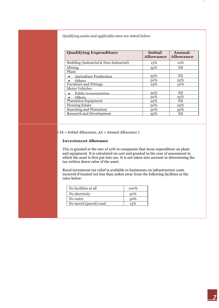Qualifying assets and applicable rates are stated below:

| <b>Qualifying Expenditure</b>          | <b>Initial</b><br><b>Allowance</b> | Annual<br><b>Allowance</b> |
|----------------------------------------|------------------------------------|----------------------------|
| Building (Industrial & Non-Industrial) | 15%                                | 10%                        |
| Mining                                 | 95%                                | Nil                        |
| Plant:                                 |                                    |                            |
| <b>Agriculture Production</b>          | 95%                                | Nil                        |
| <b>Others</b>                          | 50%                                | 25%                        |
| <b>Furniture and Fittings</b>          | 25%                                | 20%                        |
| <b>Motor Vehicles:</b>                 |                                    |                            |
| Public transportation                  | 95%                                | Nil                        |
| Others                                 | 50%                                | 25%                        |
| <b>Plantation Equipment</b>            | 95%                                | Nil                        |
| <b>Housing Estate</b>                  | 50%                                | 25%                        |
| Ranching and Plantation                | 30%                                | 50%                        |
| <b>Research and Development</b>        | 95%                                | Nil                        |

*( IA = Initial Allowance, AA = Annual Allowance )*

#### **Investment Allowance**

This is granted at the rate of 10% to companies that incur expenditure on plant and equipment. It is calculated on cost and granted in the year of assessment in which the asset is first put into use. It is not taken into account in determining the tax written down value of the asset.

Rural investment tax relief is available to businesses on infrastructure costs incurred if located not less than 20km away from the following facilities at the rates below:

| No facilities at all   | $100\%$ |
|------------------------|---------|
| No electricity         | 50%     |
| No water               | 30%     |
| No tarred (paved) road | 15%     |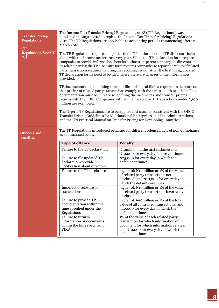| <b>Transfer Pricing</b><br>Regulations | The Income Tax (Transfer Pricing) Regulations, 2018 ("TP Regulations") was<br>published in August 2018 to replace the Income Tax (Transfer Pricing) Regulations<br>2012. The TP Regulations are applicable to accounting periods commencing after 12<br>March 2018.                                                                                                                                                                                                                                                                                                        |                                                                                                                                                                                                                                                                                                                                                            |  |
|----------------------------------------|----------------------------------------------------------------------------------------------------------------------------------------------------------------------------------------------------------------------------------------------------------------------------------------------------------------------------------------------------------------------------------------------------------------------------------------------------------------------------------------------------------------------------------------------------------------------------|------------------------------------------------------------------------------------------------------------------------------------------------------------------------------------------------------------------------------------------------------------------------------------------------------------------------------------------------------------|--|
| [TP]<br>Regulations/S22(CIT<br>A)]     | The TP Regulations require companies to file TP declaration and TP disclosure forms<br>along with the income tax returns every year. While the TP declaration form requires<br>companies to provide information about its business, its parent company, its directors and<br>its related parties; the TP disclosure form requires companies to report the values of related<br>party transactions engaged in during the reporting period. After the first filing, updated<br>TP declaration forms need to be filed where there are changes to the information<br>provided. |                                                                                                                                                                                                                                                                                                                                                            |  |
|                                        | million are exempted.                                                                                                                                                                                                                                                                                                                                                                                                                                                                                                                                                      | TP documentation (containing a master file and a local file) is required to demonstrate<br>that pricing of related party transactions comply with the arm's length principle. This<br>documentation must be in place when filing the income tax and transfer pricing<br>returns with the FIRS. Companies with annual related party transactions under N300 |  |
|                                        |                                                                                                                                                                                                                                                                                                                                                                                                                                                                                                                                                                            | The Nigeria TP Regulations are to be applied in a manner consistent with the OECD<br>Transfer Pricing Guidelines for Multinational Enterprises and Tax Administrations,<br>and the UN Practical Manual on Transfer Pricing for Developing Countries.                                                                                                       |  |
| Offences and<br>penalties              | The TP Regulations introduced penalties for different offences/acts of non-compliance<br>as summarised below:                                                                                                                                                                                                                                                                                                                                                                                                                                                              |                                                                                                                                                                                                                                                                                                                                                            |  |
|                                        | <b>Type of offence</b>                                                                                                                                                                                                                                                                                                                                                                                                                                                                                                                                                     | <b>Penalty</b>                                                                                                                                                                                                                                                                                                                                             |  |
|                                        | Failure to file TP declaration                                                                                                                                                                                                                                                                                                                                                                                                                                                                                                                                             | Nomillion in the first instance and<br>N <sub>10</sub> ,000 for every day failure continues.                                                                                                                                                                                                                                                               |  |
|                                        | Failure to file updated TP                                                                                                                                                                                                                                                                                                                                                                                                                                                                                                                                                 |                                                                                                                                                                                                                                                                                                                                                            |  |
|                                        | declaration/provide                                                                                                                                                                                                                                                                                                                                                                                                                                                                                                                                                        | N <sub>25</sub> ,000 for every day in which the<br>default continues.                                                                                                                                                                                                                                                                                      |  |
|                                        | notification about directors<br>Failure to file TP disclosure                                                                                                                                                                                                                                                                                                                                                                                                                                                                                                              | higher of: Nomillion or 1% of the value<br>of related party transactions not<br>disclosed; and $\mathbb{N}10,000$ for every day in<br>which the default continues.                                                                                                                                                                                         |  |
|                                        | Incorrect disclosure of<br>transactions                                                                                                                                                                                                                                                                                                                                                                                                                                                                                                                                    | higher of: Nomillion or 1% of the value<br>of related party transactions incorrectly<br>disclosed.                                                                                                                                                                                                                                                         |  |
|                                        | Failure to provide TP<br>documentation within the<br>time specified under the<br>Regulations<br>Failure to furnish                                                                                                                                                                                                                                                                                                                                                                                                                                                         | higher of: Nomillion or 1% of the total<br>value of all controlled transactions; and<br>N <sub>10</sub> ,000 for every day in which the<br>default continues.<br>1% of the value of each related party                                                                                                                                                     |  |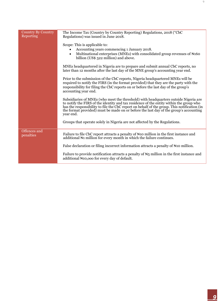| <b>Country By Country</b><br>Reporting | The Income Tax (Country by Country Reporting) Regulations, 2018 ("CbC<br>Regulations) was issued in June 2018.                                                                                                                                                                                                                                                                      |
|----------------------------------------|-------------------------------------------------------------------------------------------------------------------------------------------------------------------------------------------------------------------------------------------------------------------------------------------------------------------------------------------------------------------------------------|
|                                        | Scope: This is applicable to:<br>Accounting years commencing 1 January 2018.<br>Multinational enterprises (MNEs) with consolidated group revenues of N160<br>$\bullet$<br>billion (US\$ 522 million) and above.                                                                                                                                                                     |
|                                        | MNEs headquartered in Nigeria are to prepare and submit annual CbC reports, no<br>later than 12 months after the last day of the MNE group's accounting year end.                                                                                                                                                                                                                   |
|                                        | Prior to the submission of the CbC reports, Nigeria headquartered MNEs will be<br>required to notify the FIRS (in the format provided) that they are the party with the<br>responsibility for filing the CbC reports on or before the last day of the group's<br>accounting year end.                                                                                               |
|                                        | Subsidiaries of MNEs (who meet the threshold) with headquarters outside Nigeria are<br>to notify the FIRS of the identity and tax residence of the entity within the group who<br>has the responsibility to file the CbC report on behalf of the group. This notification (in<br>the format provided) must be made on or before the last day of the group's accounting<br>year end. |
|                                        | Groups that operate solely in Nigeria are not affected by the Regulations.                                                                                                                                                                                                                                                                                                          |
| Offences and<br>penalties              | Failure to file CbC report attracts a penalty of N10 million in the first instance and<br>additional $\mathbb{H}$ million for every month in which the failure continues.                                                                                                                                                                                                           |
|                                        | False declaration or filing incorrect information attracts a penalty of N10 million.                                                                                                                                                                                                                                                                                                |
|                                        | Failure to provide notification attracts a penalty of $\mathbb{N}_5$ million in the first instance and<br>additional N10,000 for every day of default.                                                                                                                                                                                                                              |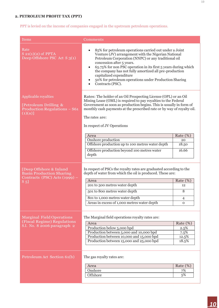## **2. PETROLEUM PROFIT TAX (PPT)**

### PPT is levied on the income of companies engaged in the upstream petroleum operations.

| Items                                                                                                   | Comments                                                                                                                                                                                                                                                                                                                                                                                                                                                        |                                                   |
|---------------------------------------------------------------------------------------------------------|-----------------------------------------------------------------------------------------------------------------------------------------------------------------------------------------------------------------------------------------------------------------------------------------------------------------------------------------------------------------------------------------------------------------------------------------------------------------|---------------------------------------------------|
| Rate<br>$S_21(1)(2)$ of PPTA<br>Deep Offshore PSC Act S 3(1)                                            | 85% for petroleum operations carried out under a Joint<br>Venture (JV) arrangement with the Nigerian National<br>Petroleum Corporation (NNPC) or any traditional oil<br>concession after 5 years.<br>65.75% for non PSC operation in its first 5 years during which<br>$\bullet$<br>the company has not fully amortized all pre-production<br>capitalized expenditure<br>50% for petroleum operations under Production Sharing<br>Contracts (PSC).<br>$\bullet$ |                                                   |
| Applicable royalties<br>[Petroleum Drilling &<br><b>Production Regulations - S61</b><br>$(1)(a)$ ]      | Rates: The holder of an Oil Prospecting License (OPL) or an Oil<br>Mining Lease (OML) is required to pay royalties to the Federal<br>Government as soon as production begins. This is usually in form of<br>monthly cash payments at the prescribed rate or by way of royalty oil.<br>The rates are:<br>In respect of JV Operations                                                                                                                             |                                                   |
|                                                                                                         | Area                                                                                                                                                                                                                                                                                                                                                                                                                                                            | Rate (%)                                          |
|                                                                                                         | Onshore production<br>Offshore production up to 100 metres water depth                                                                                                                                                                                                                                                                                                                                                                                          | 20<br>18.50                                       |
|                                                                                                         | Offshore production beyond 100 metres water<br>depth                                                                                                                                                                                                                                                                                                                                                                                                            | 16.66                                             |
| [Deep Offshore & Inland<br><b>Basin Production Sharing</b><br>Contracts (PSC) Acts (1999) -<br>$S_{5}]$ | In respect of PSCs the royalty rates are graduated according to the<br>depth of water from which the oil is produced. These are:<br>Area<br>201 to 500 metres water depth<br>501 to 800 metres water depth<br>801 to 1,000 metres water depth<br>Areas in excess of 1,000 metres water depth                                                                                                                                                                    | Rate (%)<br>12<br>8<br>$\overline{4}$<br>$\Omega$ |
| <b>Marginal Field Operations</b><br>(Fiscal Regime) Regulations<br>S.I. No. 8 2006 paragraph 2          | The Marginal field operations royalty rates are:<br>Area<br>Production below 5,000 bpd<br>Production between 5,000 and 10,000 bpd<br>Production between 10,000 and 15,000 bpd<br>Production between 15,000 and 25,000 bpd                                                                                                                                                                                                                                       | Rate (%)<br>2.5%<br>7.5%<br>12.5%<br>18.5%        |
| Petroleum Act Section 61(b)                                                                             | The gas royalty rates are:<br>Area<br>Onshore<br>Offshore                                                                                                                                                                                                                                                                                                                                                                                                       | Rate $(\%)$<br>7%<br>5%                           |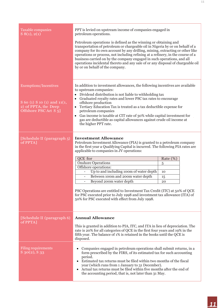| <b>Taxable companies</b><br>S(8(1), 2(1))                                                                    | PPT is levied on upstream income of companies engaged in<br>petroleum operations.<br>Petroleum operations is defined as the winning or obtaining and<br>transportation of petroleum or chargeable oil in Nigeria by or on behalf of a<br>company for its own account by any drilling, mining, extracting or other like<br>operations or process, not including refining at a refinery, in the course of a<br>business carried on by the company engaged in such operations, and all<br>operations incidental thereto and any sale of or any disposal of chargeable oil<br>by or on behalf of the company.                                                 |                                 |
|--------------------------------------------------------------------------------------------------------------|-----------------------------------------------------------------------------------------------------------------------------------------------------------------------------------------------------------------------------------------------------------------------------------------------------------------------------------------------------------------------------------------------------------------------------------------------------------------------------------------------------------------------------------------------------------------------------------------------------------------------------------------------------------|---------------------------------|
| <b>Exemptions/Incentives</b><br>S 60 (1) S 10 (1) and 11(1,<br>2) of PPTA, the Deep<br>Offshore PSC Act S 5] | In addition to investment allowances, the following incentives are available<br>to upstream companies:<br>Dividend distribution is not liable to withholding tax<br>• Graduated royalty rates and lower PSC tax rates to encourage<br>offshore production<br>• Tertiary Education Tax is treated as a tax deductible expense for<br>petroleum companies<br>• Gas income is taxable at CIT rate of 30% while capital investment for<br>gas are deductible as capital allowances against crude oil income at<br>the higher PPT rate.                                                                                                                        |                                 |
| [Schedule II (paragraph 5)<br>of PPTA]                                                                       | <b>Investment Allowance</b><br>Petroleum Investment Allowance (PIA) is granted to a petroleum company<br>in the first year a Qualifying Capital is incurred. The following PIA rates are<br>applicable to companies in JV operations:<br>QCE for<br><b>Onshore Operations</b><br>Offshore operations:<br>Up to and including 100m of water depth<br>$\overline{\phantom{a}}$<br>Between 100m and 200m water depth<br>Beyond 200m water depth<br>PSC Operations are entitled to Investment Tax Credit (ITC) at 50% of QCE<br>for PSC executed prior to July 1998 and investment tax allowance (ITA) of<br>50% for PSC executed with effect from July 1998. | Rate (%)<br>5<br>10<br>15<br>20 |
| [Schedule II (paragraph 6)<br>$of PPTA$ ]                                                                    | <b>Annual Allowance</b><br>This is granted in addition to PIA, ITC, and ITA in lieu of depreciation. The<br>rate is 20% for all categories of QCE in the first four years and 19% in the<br>fifth year. The balance of 1% is retained in the books until the QCE is<br>disposed.                                                                                                                                                                                                                                                                                                                                                                          |                                 |
| <b>Filing requirements</b><br>$S$ 30(2), $S$ 33                                                              | Companies engaged in petroleum operations shall submit returns, in a<br>form prescribed by the FIRS, of its estimated tax for such accounting<br>period.<br>Estimated tax returns must be filed within two months of the fiscal<br>year (which runs from 1 January to 31 December).<br>Actual tax returns must be filed within five months after the end of<br>the accounting period, that is, not later than 31 May.                                                                                                                                                                                                                                     |                                 |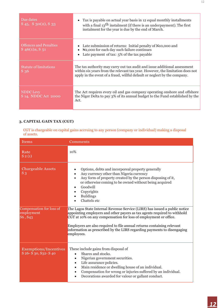| Due dates<br>$S$ 45, $S$ 30(2), $S$ 33            | Tax is payable on actual year basis in 12 equal monthly installments<br>with a final $13$ <sup>th</sup> instalment (if there is an underpayment). The first<br>instalment for the year is due by the end of March.                      |
|---------------------------------------------------|-----------------------------------------------------------------------------------------------------------------------------------------------------------------------------------------------------------------------------------------|
| <b>Offences and Penalties</b><br>$S$ 46(1)a, S 51 | Late submission of returns: Initial penalty of N10,000 and<br>N <sub>2</sub> ,000 for each day such failure continues<br>Late payment of tax: 5% of the tax payable                                                                     |
| <b>Statute of limitations</b><br>S 36             | The tax authority may carry out tax audit and issue additional assessment<br>within six years from the relevant tax year. However, the limitation does not<br>apply in the event of a fraud, willful default or neglect by the company. |
| NDDC Levy<br>S 14, NDDC Act 2000                  | The Act requires every oil and gas company operating onshore and offshore<br>the Niger Delta to pay 3% of its annual budget to the Fund established by the<br>Act.                                                                      |

### **3. CAPITAL GAIN TAX (CGT)**

CGT is chargeable on capital gains accruing to any person (company or individual) making a disposal of assets.

| <b>Items</b>                                      | Comments                                                                                                                                                                                                                                                                                                                                                                                      |
|---------------------------------------------------|-----------------------------------------------------------------------------------------------------------------------------------------------------------------------------------------------------------------------------------------------------------------------------------------------------------------------------------------------------------------------------------------------|
| Rate<br>$S_2(1)$                                  | 10%                                                                                                                                                                                                                                                                                                                                                                                           |
| <b>Chargeable Assets</b><br>$S_3$                 | Options, debts and incorporeal property generally<br>Any currency other than Nigeria currency<br>Any form of property created by the person disposing of it,<br>or otherwise coming to be owned without being acquired<br>Goodwill<br>Copyrights<br><b>Buildings</b><br>Chattels etc                                                                                                          |
| Compensation for loss of<br>employment<br>S6, S43 | The Lagos State Internal Revenue Service (LIRS) has issued a public notice<br>appointing employers and other payers as tax agents required to withhold<br>CGT at 10% on any compensation for loss of employment or office.<br>Employers are also required to file annual returns containing relevant<br>information as prescribed by the LIRS regarding payments to disengaging<br>employees. |
| Exemptions/Incentives<br>S 26- S 30, S 32- S 40   | These include gains from disposal of<br>Shares and stocks.<br>$\bullet$<br>Nigerian government securities.<br>$\bullet$<br>Life assurance policies.<br>$\bullet$<br>Main residence or dwelling house of an individual.<br>$\bullet$<br>Compensation for wrong or injuries suffered by an individual.<br>$\bullet$<br>Decorations awarded for valour or gallant conduct.                       |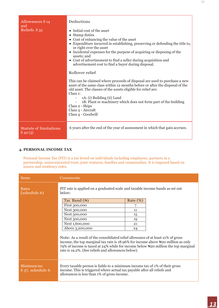| <b>Allowances S<sub>14</sub></b><br>and<br>Reliefs S <sub>32</sub> | Deductions<br>• Initial cost of the asset<br>• Stamp duties<br>• Cost of enhancing the value of the asset<br>• Expenditure incurred in establishing, preserving or defending the title to,<br>or right over the asset<br>• Incidental expenses for the purpose of acquiring or disposing of the<br>assets; and<br>• Cost of advertisement to find a seller during acquisition and<br>advertisement cost to find a buyer during disposal.<br>Rollover relief<br>This can be claimed where proceeds of disposal are used to purchase a new<br>asset of the same class within 12 months before or after the disposal of the<br>old asset. The classes of the assets eligible for relief are:<br>Class 1:<br>1A: (i) Building (ii) Land<br>1B: Plant or machinery which does not form part of the building<br>Class 2 - Ships<br>Class 3 - Aircraft<br>Class 4 - Goodwill |
|--------------------------------------------------------------------|-----------------------------------------------------------------------------------------------------------------------------------------------------------------------------------------------------------------------------------------------------------------------------------------------------------------------------------------------------------------------------------------------------------------------------------------------------------------------------------------------------------------------------------------------------------------------------------------------------------------------------------------------------------------------------------------------------------------------------------------------------------------------------------------------------------------------------------------------------------------------|
| <b>Statute of limitations</b><br>$S$ 42 $(3)$                      | 6 years after the end of the year of assessment in which that gain accrues.                                                                                                                                                                                                                                                                                                                                                                                                                                                                                                                                                                                                                                                                                                                                                                                           |

#### **4. PERSONAL INCOME TAX**

Personal Income Tax (PIT) is a tax levied on individuals including employees, partners in a partnership, unincorporated trust, joint ventures, families and communities. It is imposed based on source and residency rules.

| <b>Items</b>                    | Comments                                                                                                                                                                                                                                                                                                       |          |  |  |
|---------------------------------|----------------------------------------------------------------------------------------------------------------------------------------------------------------------------------------------------------------------------------------------------------------------------------------------------------------|----------|--|--|
| Rates<br>[schedule 6)           | PIT rate is applied on a graduated scale and taxable income bands as set out<br>below:                                                                                                                                                                                                                         |          |  |  |
|                                 | Tax Band $(\mathbb{N})$                                                                                                                                                                                                                                                                                        | Rate (%) |  |  |
|                                 | First 300,000                                                                                                                                                                                                                                                                                                  | 7        |  |  |
|                                 | Next 300,000                                                                                                                                                                                                                                                                                                   | 11       |  |  |
|                                 | Next 500,000                                                                                                                                                                                                                                                                                                   | 15       |  |  |
|                                 | Next 500,000                                                                                                                                                                                                                                                                                                   | 19       |  |  |
|                                 | Next 1,600,000                                                                                                                                                                                                                                                                                                 | 21       |  |  |
|                                 | Above 3,200,000                                                                                                                                                                                                                                                                                                | 24       |  |  |
|                                 | Note: As a result of the consolidated relief allowance of at least 21% of gross<br>income, the top marginal tax rate is $18.96\%$ for income above Negalem as only<br>79% of income is taxed at 24% while for income below Neap million the top marginal<br>rate is 19.2%. (See reliefs and allowances below). |          |  |  |
| Minimum tax<br>S 37, schedule 6 | Every taxable person is liable to a minimum income tax of 1% of their gross<br>income. This is triggered where actual tax payable after all reliefs and<br>allowances is less than 1% of gross income.                                                                                                         |          |  |  |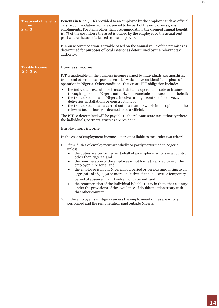| <b>Treatment of Benefits</b><br>in Kind<br>$S_4$ , $S_5$ | Benefits in Kind (BIK) provided to an employee by the employer such as official<br>cars, accommodation, etc. are deemed to be part of the employee's gross<br>emoluments. For items other than accommodation, the deemed annual benefit<br>is 5% of the cost where the asset is owned by the employer or the actual rent<br>paid where the asset is leased by the employer.<br>BIK on accommodation is taxable based on the annual value of the premises as<br>determined for purposes of local rates or as determined by the relevant tax<br>authority.                                                                                                                                                                                                                                                                                                                                                                                                                                                                                                                                                                                                                                                                                                                                                                                                                                                                                                                                                                                                                                                                                                                                                                                                                                                                                                           |
|----------------------------------------------------------|--------------------------------------------------------------------------------------------------------------------------------------------------------------------------------------------------------------------------------------------------------------------------------------------------------------------------------------------------------------------------------------------------------------------------------------------------------------------------------------------------------------------------------------------------------------------------------------------------------------------------------------------------------------------------------------------------------------------------------------------------------------------------------------------------------------------------------------------------------------------------------------------------------------------------------------------------------------------------------------------------------------------------------------------------------------------------------------------------------------------------------------------------------------------------------------------------------------------------------------------------------------------------------------------------------------------------------------------------------------------------------------------------------------------------------------------------------------------------------------------------------------------------------------------------------------------------------------------------------------------------------------------------------------------------------------------------------------------------------------------------------------------------------------------------------------------------------------------------------------------|
| Taxable Income<br>S 6, S 10                              | <b>Business income</b><br>PIT is applicable on the business income earned by individuals, partnerships,<br>trusts and other unincorporated entities which have an identifiable place of<br>operation in Nigeria. Other conditions that create PIT obligation include:<br>the individual, executor or trustee habitually operates a trade or business<br>$\bullet$<br>through a person in Nigeria authorized to conclude contracts on his behalf;<br>the trade or business in Nigeria involves a single contract for surveys,<br>$\bullet$<br>deliveries, installations or construction; or<br>the trade or business is carried out in a manner which in the opinion of the<br>$\bullet$<br>relevant tax authority is deemed to be artificial.<br>The PIT so determined will be payable to the relevant state tax authority where<br>the individuals, partners, trustees are resident.<br>Employment income<br>In the case of employment income, a person is liable to tax under two criteria:<br>If the duties of employment are wholly or partly performed in Nigeria,<br>1.<br>unless:<br>the duties are performed on behalf of an employer who is in a country<br>$\bullet$<br>other than Nigeria, and<br>the remuneration of the employee is not borne by a fixed base of the<br>$\bullet$<br>employer in Nigeria; and<br>the employee is not in Nigeria for a period or periods amounting to an<br>$\bullet$<br>aggregate of 183 days or more, inclusive of annual leave or temporary<br>period of absence in any twelve month period; and<br>the remuneration of the individual is liable to tax in that other country<br>under the provisions of the avoidance of double taxation treaty with<br>that other country.<br>If the employer is in Nigeria unless the employment duties are wholly<br>2.<br>performed and the remuneration paid outside Nigeria. |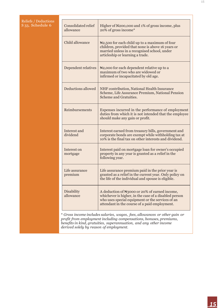| <b>Reliefs / Deductions</b>  |                                  |                                                                                                                                                                                                                          |
|------------------------------|----------------------------------|--------------------------------------------------------------------------------------------------------------------------------------------------------------------------------------------------------------------------|
| S <sub>33</sub> , Schedule 6 | Consolidated relief<br>allowance | Higher of N200,000 and 1% of gross income, plus<br>20% of gross income*                                                                                                                                                  |
|                              | Child allowance                  | $\mathbb{N}2,500$ for each child up to a maximum of four<br>children, provided that none is above 16 years or<br>married unless in a recognised school, under<br>articleship or learning a trade.                        |
|                              | Dependent relatives              | $\mathbb{N}2,000$ for each dependent relative up to a<br>maximum of two who are widowed or<br>infirmed or incapacitated by old age.                                                                                      |
|                              | Deductions allowed               | NHF contribution, National Health Insurance<br>Scheme, Life Assurance Premium, National Pension<br>Scheme and Gratuities.                                                                                                |
|                              | Reimbursements                   | Expenses incurred in the performance of employment<br>duties from which it is not intended that the employee<br>should make any gain or profit.                                                                          |
|                              | Interest and<br>dividend         | Interest earned from treasury bills, government and<br>corporate bonds are exempt while withholding tax at<br>10% is the final tax on other interests and dividend.                                                      |
|                              | Interest on<br>mortgage          | Interest paid on mortgage loan for owner's occupied<br>property in any year is granted as a relief in the<br>following year.                                                                                             |
|                              | Life assurance<br>premium        | Life assurance premium paid in the prior year is<br>granted as a relief in the current year. Only policy on<br>the life of the individual and spouse is eligible.                                                        |
|                              | <b>Disability</b><br>allowance   | A deduction of N <sub>3</sub> 000 or 20% of earned income,<br>whichever is higher, in the case of a disabled person<br>who uses special equipment or the services of an<br>attendant in the course of a paid employment. |

*derived solely by reason of employment.*

15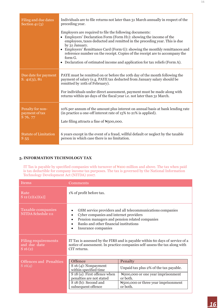| Filing and due dates                 | Individuals are to file returns not later than 31 March annually in respect of the                                                                                                                                                                                                                                                                                                                                                                                                     |
|--------------------------------------|----------------------------------------------------------------------------------------------------------------------------------------------------------------------------------------------------------------------------------------------------------------------------------------------------------------------------------------------------------------------------------------------------------------------------------------------------------------------------------------|
| Section $41(3)$                      | preceding year.                                                                                                                                                                                                                                                                                                                                                                                                                                                                        |
|                                      | Employers are required to file the following documents:<br>• Employers' Declaration Form (Form H1): showing the income of the<br>employees, taxes deducted and remitted in the preceding year. This is due<br>by 31 January.<br>• Employers' Remittance Card (Form G): showing the monthly remittances and<br>reference number on the receipt. Copies of the receipt are to accompany the<br>form $G$ .<br>• Declaration of estimated income and application for tax reliefs (Form A). |
| Due date for payment<br>S. 41(3), 81 | PAYE must be remitted on or before the 10th day of the month following the<br>payment of salary (e.g. PAYE tax deducted from January salary should be<br>remitted by 10th of February).<br>For individuals under direct assessment, payment must be made along with<br>returns within 90 days of the fiscal year i.e. not later than 31 March.                                                                                                                                         |
| Penalty for non-                     | 10% per annum of the amount plus interest on annual basis at bank lending rate                                                                                                                                                                                                                                                                                                                                                                                                         |
| payment of tax                       | (in practice a one-off interest rate of 15% to 21% is applied).                                                                                                                                                                                                                                                                                                                                                                                                                        |
| S 76, 77                             | Late filing attracts a fine of $N500,000$ .                                                                                                                                                                                                                                                                                                                                                                                                                                            |
| <b>Statute of Limitation</b>         | 6 years except in the event of a fraud, willful default or neglect by the taxable                                                                                                                                                                                                                                                                                                                                                                                                      |
| $S\overline{55}$                     | person in which case there is no limitation.                                                                                                                                                                                                                                                                                                                                                                                                                                           |

#### **5. INFORMATION TECHNOLOGY TAX**

IT Tax is payable by specified companies with turnover of N100 million and above. The tax when paid is tax deductible for company income tax purposes. The tax is governed by the National Information Technology Development Act (NITDA) 2007.

| <b>Items</b>                                     | Comments                                                                                                                                                                                                                                                                                                                                                |  |  |  |
|--------------------------------------------------|---------------------------------------------------------------------------------------------------------------------------------------------------------------------------------------------------------------------------------------------------------------------------------------------------------------------------------------------------------|--|--|--|
| Rate<br>$S_12(2)(a)(a)]$                         | 1% of profit before tax.                                                                                                                                                                                                                                                                                                                                |  |  |  |
| Taxable companies<br>NITDA Schedule 111          | GSM service providers and all telecommunications companies<br>Cyber companies and internet providers<br>Pension managers and pension related companies<br>Banks and other financial institutions<br>Insurance companies                                                                                                                                 |  |  |  |
| Filing requirements<br>and due date<br>$S_16(2)$ | IT Tax is assessed by the FIRS and is payable within 60 days of service of a<br>notice of assessment. In practice companies self-assess the tax along with<br>CIT returns.                                                                                                                                                                              |  |  |  |
| <b>Offences and Penalties</b><br>S16(4)          | Offence<br>Penalty<br>$S$ 16 (4): Nonpayment<br>Unpaid tax plus 2% of the tax payable.<br>within specified time<br>S 18 (a): First offence when<br>N <sub>200</sub> ,000 or one year imprisonment<br>penalties are not stated<br>or both.<br>N <sub>5</sub> 00,000 or three year imprisonment<br>S 18 (b): Second and<br>subsequent offence<br>or both. |  |  |  |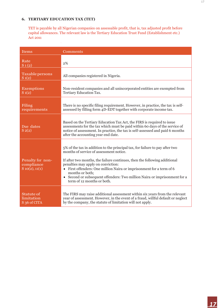### **6. TERTIARY EDUCATION TAX (TET)**

 $\mathcal{A}_{\mathcal{A}}$ 

TET is payable by all Nigerian companies on assessable profit, that is, tax adjusted profit before capital allowances. The relevant law is the Tertiary Education Trust Fund (Establishment etc.) Act 2011

| <b>Items</b>                                        | Comments                                                                                                                                                                                                                                                                                                                                                                                                                                       |
|-----------------------------------------------------|------------------------------------------------------------------------------------------------------------------------------------------------------------------------------------------------------------------------------------------------------------------------------------------------------------------------------------------------------------------------------------------------------------------------------------------------|
| Rate<br>$S_1(2)$                                    | 2%                                                                                                                                                                                                                                                                                                                                                                                                                                             |
| Taxable persons<br>$S_1(2)$                         | All companies registered in Nigeria.                                                                                                                                                                                                                                                                                                                                                                                                           |
| <b>Exemptions</b><br>$S_1(2)$                       | Non-resident companies and all unincorporated entities are exempted from<br>Tertiary Education Tax.                                                                                                                                                                                                                                                                                                                                            |
| Filing<br>requirements                              | There is no specific filing requirement. However, in practice, the tax is self-<br>assessed by filling form 4D-EDT together with corporate income tax.                                                                                                                                                                                                                                                                                         |
| Due dates<br>$S_2(2)$                               | Based on the Tertiary Education Tax Act, the FIRS is required to issue<br>assessments for the tax which must be paid within 60 days of the service of<br>notice of assessment. In practice, the tax is self-assessed and paid 6 months<br>after the accounting year end date.                                                                                                                                                                  |
| Penalty for non-<br>compliance<br>$S_10(2), 11(1)$  | 5% of the tax in addition to the principal tax, for failure to pay after two<br>months of service of assessment notice.<br>If after two months, the failure continues, then the following additional<br>penalties may apply on conviction:<br>First offenders: One million Naira or imprisonment for a term of 6<br>months or both;<br>• Second or subsequent offenders: Two million Naira or imprisonment for a<br>term of 12 months or both. |
| Statute of<br>limitation<br>S <sub>36</sub> of CITA | The FIRS may raise additional assessment within six years from the relevant<br>year of assessment. However, in the event of a fraud, willful default or neglect<br>by the company, the statute of limitation will not apply.                                                                                                                                                                                                                   |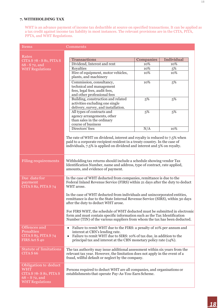#### **7. WITHHOLDING TAX**

WHT is an advance payment of income tax deductible at source on specified transactions. It can be applied as a tax credit against income tax liability in most instances. The relevant provisions are in the CITA, PITA, PPTA, and WHT Regulations.

| <b>Items</b>                                                                                                | Comments                                                                                                                                                                                                                                                                       |                             |            |  |  |  |  |
|-------------------------------------------------------------------------------------------------------------|--------------------------------------------------------------------------------------------------------------------------------------------------------------------------------------------------------------------------------------------------------------------------------|-----------------------------|------------|--|--|--|--|
|                                                                                                             |                                                                                                                                                                                                                                                                                |                             |            |  |  |  |  |
| Rates<br>CITA S 78 - S 81, PITA S                                                                           | Transactions                                                                                                                                                                                                                                                                   | Companies                   | Individual |  |  |  |  |
| 68 - S 72, and                                                                                              | Dividend, Interest and rent                                                                                                                                                                                                                                                    | 10%                         | 10%        |  |  |  |  |
| <b>WHT Regulations</b>                                                                                      | Royalties                                                                                                                                                                                                                                                                      | 10%                         | 5%         |  |  |  |  |
|                                                                                                             | Hire of equipment, motor vehicles,                                                                                                                                                                                                                                             | 10%                         | 10%        |  |  |  |  |
|                                                                                                             | plants, and machinery                                                                                                                                                                                                                                                          |                             |            |  |  |  |  |
|                                                                                                             | Commission, consultancy,                                                                                                                                                                                                                                                       | 10%                         | 5%         |  |  |  |  |
|                                                                                                             | technical and management                                                                                                                                                                                                                                                       |                             |            |  |  |  |  |
|                                                                                                             | fees, legal fees, audit fees,                                                                                                                                                                                                                                                  |                             |            |  |  |  |  |
|                                                                                                             | Building, construction and related                                                                                                                                                                                                                                             | and other professional fees |            |  |  |  |  |
|                                                                                                             | activities excluding one single                                                                                                                                                                                                                                                | 5%                          | 5%         |  |  |  |  |
|                                                                                                             | delivery, survey, and installation.                                                                                                                                                                                                                                            |                             |            |  |  |  |  |
|                                                                                                             | All types of contracts and                                                                                                                                                                                                                                                     | 5%                          | 5%         |  |  |  |  |
|                                                                                                             | agency arrangements, other                                                                                                                                                                                                                                                     |                             |            |  |  |  |  |
|                                                                                                             | than sales in the ordinary                                                                                                                                                                                                                                                     |                             |            |  |  |  |  |
|                                                                                                             | course of business                                                                                                                                                                                                                                                             |                             |            |  |  |  |  |
|                                                                                                             | Directors' fees                                                                                                                                                                                                                                                                | N/A                         | 10%        |  |  |  |  |
|                                                                                                             | The rate of WHT on dividend, interest and royalty is reduced to 7.5% when<br>paid to a corporate recipient resident in a treaty country. In the case of<br>individuals, 7.5% is applied on dividend and interest and 5% on royalty.                                            |                             |            |  |  |  |  |
| <b>Filing requirements</b>                                                                                  | Withholding tax returns should include a schedule showing vendor Tax<br>Identification Number, name and address, type of contract, rate applied,<br>amounts, and evidence of payment.                                                                                          |                             |            |  |  |  |  |
| Due date for<br>payment<br>CITA S 82, PITA S 74                                                             | In the case of WHT deducted from companies, remittance is due to the<br>Federal Inland Revenue Service (FIRS) within 21 days after the duty to deduct<br>WHT arose.                                                                                                            |                             |            |  |  |  |  |
|                                                                                                             | In the case of WHT deducted from individuals and unincorporated entities,<br>remittance is due to the State Internal Revenue Service (SIRS), within 30 days<br>after the duty to deduct WHT arose.                                                                             |                             |            |  |  |  |  |
|                                                                                                             | For FIRS WHT, the schedule of WHT deducted must be submitted in electronic<br>form and must contain specific information such as the Tax Identification<br>Number (TIN) of the various suppliers from whom the tax has been deducted.                                          |                             |            |  |  |  |  |
| Offences and<br><b>Penalties</b><br>CITAS 85, PITAS 74<br>FIRS Act S 40                                     | Failure to remit WHT due to the FIRS: a penalty of 10% per annum and<br>$\bullet$<br>interest at CBN's lending rate.<br>Failure to remit WHT due to SIRS: 10% of tax due, in addition to the<br>$\bullet$<br>principal tax and interest at the CBN monetary policy rate (14%). |                             |            |  |  |  |  |
| <b>Statute of limitations</b><br>CITA S <sub>66</sub>                                                       | The tax authority may issue additional assessment within six years from the<br>relevant tax year. However, the limitation does not apply in the event of a<br>fraud, willful default or neglect by the company.                                                                |                             |            |  |  |  |  |
| Obligation to deduct<br><b>WHT</b><br>CITA S 78- S 81, PITA S<br>$68 - S$ 72, and<br><b>WHT Regulations</b> | Persons required to deduct WHT are all companies, and organisations or<br>establishments that operate Pay-As-You-Earn Scheme.                                                                                                                                                  |                             |            |  |  |  |  |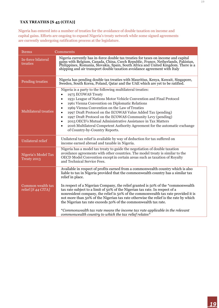#### **TAX TREATIES [S 45 (CITA)]**

Nigeria has entered into a number of treaties for the avoidance of double taxation on income and capital gains. Efforts are ongoing to expand Nigeria's treaty network while some signed agreements are currently undergoing ratification process at the legislature.

| Items                                   | Comments                                                                                                                                                                                                                                                                                                                                                                                                                                                                                                                                                                                                                                                                                                                                               |
|-----------------------------------------|--------------------------------------------------------------------------------------------------------------------------------------------------------------------------------------------------------------------------------------------------------------------------------------------------------------------------------------------------------------------------------------------------------------------------------------------------------------------------------------------------------------------------------------------------------------------------------------------------------------------------------------------------------------------------------------------------------------------------------------------------------|
| In-force bilateral<br>treaties          | Nigeria currently has in-force double tax treaties for taxes on income and capital<br>gains with Belgium, Canada, China, Czech Republic, France, Netherlands, Pakistan,<br>Philippines, Romania, Slovakia, Spain, South Africa and United Kingdom. There is a<br>shipping and air transport double taxation avoidance agreement with Italy                                                                                                                                                                                                                                                                                                                                                                                                             |
| Pending treaties                        | Nigeria has pending double tax treaties with Mauritius, Kenya, Kuwait, Singapore,<br>Sweden, South Korea, Poland, Qatar and the UAE which are yet to be ratified.                                                                                                                                                                                                                                                                                                                                                                                                                                                                                                                                                                                      |
| <b>Multilateral treaties</b>            | Nigeria is a party to the following multilateral treaties:<br>1975 ECOWAS Treaty<br>$\bullet$<br>1931 League of Nations Motor Vehicle Convention and Final Protocol<br>$\bullet$<br>1961 Vienna Convention on Diplomatic Relations<br>$\bullet$<br>1969 Vienna Convention on the Law of Treaties<br>$\bullet$<br>1997 Draft Protocol on the ECOWAS Value Added Tax (pending)<br>$\bullet$<br>1997 Draft Protocol on the ECOWAS Community Levy (pending)<br>$\bullet$<br>2015 OECD's Mutual Administrative Assistance in Tax Matters<br>$\bullet$<br>2016 Multilateral Competent Authority Agreement for the automatic exchange<br>$\bullet$<br>of Country-by-Country Reports.                                                                          |
| Unilateral relief                       | Unilateral tax relief is available by way of deduction for tax suffered on<br>income earned abroad and taxable in Nigeria.                                                                                                                                                                                                                                                                                                                                                                                                                                                                                                                                                                                                                             |
| Nigeria's Model Tax<br>Treaty 2013      | Nigeria has a model tax treaty to guide the negotiation of double taxation<br>avoidance agreements with other countries. The model treaty is similar to the<br>OECD Model Convention except in certain areas such as taxation of Royalty<br>and Technical Service Fees.                                                                                                                                                                                                                                                                                                                                                                                                                                                                                |
| Common wealth tax<br>relief [S 44 CITA] | Available in respect of profits earned from a commonwealth country which is also<br>liable to tax in Nigeria provided that the commonwealth country has a similar tax<br>relief in place.<br>In respect of a Nigerian Company, the relief granted is 50% of the *commonwealth<br>tax rate subject to a limit of 50% of the Nigerian tax rate. In respect of a<br>nonresident company, the relief is 50% of the commonwealth tax rate provided it is<br>not more than 50% of the Nigerian tax rate otherwise the relief is the rate by which<br>the Nigerian tax rate exceeds 50% of the commonwealth tax rate.<br>*Commonwealth tax rate means the income tax rate applicable in the relevant<br>commonwealth country to which the tax relief relates* |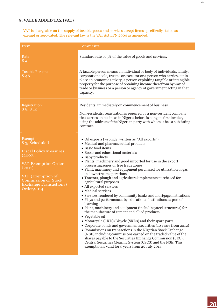#### **8. VALUE ADDED TAX (VAT)**

VAT is chargeable on the supply of taxable goods and services except items specifically stated as exempt or zero-rated. The relevant law is the VAT Act LFN 2004 as amended.

| <b>Item</b>                                                                                                                                                                                                            | Comments                                                                                                                                                                                                                                                                                                                                                                                                                                                                                                                                                                                                                                                                                                                                                                                                                                                                                                                                                                                                                                                                                                                                                                                                                                                                 |
|------------------------------------------------------------------------------------------------------------------------------------------------------------------------------------------------------------------------|--------------------------------------------------------------------------------------------------------------------------------------------------------------------------------------------------------------------------------------------------------------------------------------------------------------------------------------------------------------------------------------------------------------------------------------------------------------------------------------------------------------------------------------------------------------------------------------------------------------------------------------------------------------------------------------------------------------------------------------------------------------------------------------------------------------------------------------------------------------------------------------------------------------------------------------------------------------------------------------------------------------------------------------------------------------------------------------------------------------------------------------------------------------------------------------------------------------------------------------------------------------------------|
| Rate<br>$S_4$                                                                                                                                                                                                          | Standard rate of 5% of the value of goods and services.                                                                                                                                                                                                                                                                                                                                                                                                                                                                                                                                                                                                                                                                                                                                                                                                                                                                                                                                                                                                                                                                                                                                                                                                                  |
| <b>Taxable Persons</b><br>$\overline{S}$ 46                                                                                                                                                                            | A taxable person means an individual or body of individuals, family,<br>corporations sole, trustee or executor or a person who carries out in a<br>place an economic activity, a person exploiting tangible or intangible<br>property for the purpose of obtaining income therefrom by way of<br>trade or business or a person or agency of government acting in that<br>capacity.                                                                                                                                                                                                                                                                                                                                                                                                                                                                                                                                                                                                                                                                                                                                                                                                                                                                                       |
| Registration<br>S 8, S 10                                                                                                                                                                                              | Residents: immediately on commencement of business.<br>Non-residents: registration is required by a non-resident company<br>that carries on business in Nigeria before issuing its first invoice,<br>using the address of the Nigerian party with whom it has a subsisting<br>contract.                                                                                                                                                                                                                                                                                                                                                                                                                                                                                                                                                                                                                                                                                                                                                                                                                                                                                                                                                                                  |
| <b>Exemptions</b><br>S 3, Schedule I<br><b>Fiscal Policy Measures</b><br>(2007),<br>VAT Exemption Order<br>(2011),<br>VAT (Exemption of<br><b>Commission on Stock</b><br><b>Exchange Transactions</b> )<br>Order, 2014 | · Oil exports (wrongly written as "All exports")<br>• Medical and pharmaceutical products<br>• Basic food items<br>· Books and educational materials<br>• Baby products<br>• Plants, machinery and good imported for use in the export<br>processing zones or free trade zones<br>· Plant, machinery and equipment purchased for utilization of gas<br>in downstream operations<br>• Tractors, plough and agricultural implements purchased for<br>agricultural purposes<br>• All exported services<br>• Medical services<br>• Services rendered by community banks and mortgage institutions<br>• Plays and performances by educational institutions as part of<br>learning<br>• Plant, machinery and equipment (including steel structures) for<br>the manufacture of cement and allied products<br>• Vegetable oil<br>• Motorcycle (CKD)/Bicycle (SKDs) and their spare parts<br>• Corporate bonds and government securities (10 years from 2012)<br>• Commissions on transactions in the Nigerian Stock Exchange<br>(NSE) including commissions earned on the traded value of the<br>shares payable to the Securities Exchange Commission (SEC),<br>Central Securities Clearing System (CSCS) and the NSE. This<br>exemption is valid for 5 years from 25 July 2014. |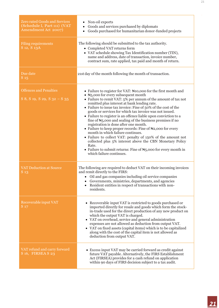| <b>Zero rated Goods and Services</b><br>(Schedule I, Part 111) (VAT<br>Amendment Act 2007) | Non-oil exports<br>Goods and services purchased by diplomats<br>Goods purchased for humanitarian donor-funded projects<br>$\bullet$                                                                                                                                                                                                                                                                                                                                                                                                                                                                                                                                                                                                                                                                                                                                                                         |
|--------------------------------------------------------------------------------------------|-------------------------------------------------------------------------------------------------------------------------------------------------------------------------------------------------------------------------------------------------------------------------------------------------------------------------------------------------------------------------------------------------------------------------------------------------------------------------------------------------------------------------------------------------------------------------------------------------------------------------------------------------------------------------------------------------------------------------------------------------------------------------------------------------------------------------------------------------------------------------------------------------------------|
| <b>Filing requirements</b><br>S 12, S 13A                                                  | The following should be submitted to the tax authority.<br>• Completed VAT returns form<br>• VAT schedule showing Tax Identification number (TIN),<br>name and address, date of transaction, invoice number,<br>contract sum, rate applied, tax paid and month of return.                                                                                                                                                                                                                                                                                                                                                                                                                                                                                                                                                                                                                                   |
| Due date<br>S <sub>15</sub>                                                                | 21st day of the month following the month of transaction.                                                                                                                                                                                                                                                                                                                                                                                                                                                                                                                                                                                                                                                                                                                                                                                                                                                   |
| <b>Offences and Penalties</b><br>S 8, S 19, S 29, S $32 - S$ 35                            | • Failure to register for VAT: N10,000 for the first month and<br>• N <sub>5</sub> ,000 for every subsequent month<br>• Failure to remit VAT: $5\%$ per annum of the amount of tax not<br>remitted plus interest at bank lending rate.<br>• Failure to issue tax invoice: Fine of 50% of the cost of the<br>goods or services for which tax invoice was not issued.<br>• Failure to register is an offence liable upon conviction to a<br>fine of $\mathbb{N}_5$ ,000 and sealing of the business premises if no<br>registration is done after one month.<br>• Failure to keep proper records: Fine of N2,000 for every<br>month in which failure continues.<br>• Failure to collect VAT: penalty of 150% of the amount not<br>collected plus 5% interest above the CBN Monetary Policy<br>Rate.<br>• Failure to submit returns: Fine of $\mathbb{N}_5$ ,000 for every month in<br>which failure continues. |
| <b>VAT Deduction at Source</b><br>S <sub>13</sub>                                          | The following are required to deduct VAT on their incoming invoices<br>and remit directly to the FIRS:<br>• Oil and gas companies including oil service companies<br>Governments, ministries, departments, and agencies<br>Resident entities in respect of transactions with non-<br>residents.                                                                                                                                                                                                                                                                                                                                                                                                                                                                                                                                                                                                             |
| Recoverable input VAT<br>S 17                                                              | • Recoverable input VAT is restricted to goods purchased or<br>imported directly for resale and goods which form the stock-<br>in-trade used for the direct production of any new product on<br>which the output VAT is charged.<br>• VAT on overhead, service and general administration<br>expenses are not allowed as deduction from output VAT.<br>• VAT on fixed assets (capital items) which is to be capitalized<br>along with the cost of the capital item is not allowed as<br>deduction from output VAT.                                                                                                                                                                                                                                                                                                                                                                                          |
| VAT refund and carry forward<br>S 16, FIRSEA S 23                                          | • Excess input VAT may be carried forward as credit against<br>future VAT payable. Alternatively, the FIRS Establishment<br>Act (FIRSEA) provides for a cash refund on application<br>within 90 days of FIRS decision subject to a tax audit.                                                                                                                                                                                                                                                                                                                                                                                                                                                                                                                                                                                                                                                               |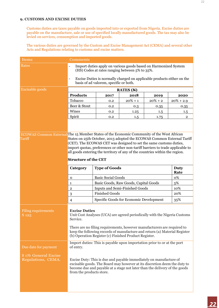#### **9. CUSTOMS AND EXCISE DUTIES**

Customs duties are taxes payable on goods imported into or exported from Nigeria. Excise duties are payable on the manufacture, sale or use of specified locally manufactured goods. The tax may also be levied on services, consumption and imported goods.

The various duties are governed by the Custom and Excise Management Act (CEMA) and several other Acts and Regulations relating to customs and excise matters.

| <b>Items</b>                                                       | Comments                                                                                                                                                                                                                                                                                                                                                                                                                                  |                                                |                  |            |                |  |
|--------------------------------------------------------------------|-------------------------------------------------------------------------------------------------------------------------------------------------------------------------------------------------------------------------------------------------------------------------------------------------------------------------------------------------------------------------------------------------------------------------------------------|------------------------------------------------|------------------|------------|----------------|--|
| <b>Rates</b>                                                       | Import duties apply on various goods based on Harmonized System<br>(HS) Codes at rates ranging between 5% to 35%.                                                                                                                                                                                                                                                                                                                         |                                                |                  |            |                |  |
|                                                                    | Excise Duties is normally charged on applicable products either on the<br>$\blacksquare$<br>basis of ad valorem, specific or both.                                                                                                                                                                                                                                                                                                        |                                                |                  |            |                |  |
| <b>Excisable goods</b>                                             |                                                                                                                                                                                                                                                                                                                                                                                                                                           |                                                | <b>RATES (N)</b> |            |                |  |
|                                                                    | <b>Products</b><br>2018<br>2017<br>2019<br>2020                                                                                                                                                                                                                                                                                                                                                                                           |                                                |                  |            |                |  |
|                                                                    | Tobacco                                                                                                                                                                                                                                                                                                                                                                                                                                   | 0.2                                            | $20\% + 1$       | $20\% + 2$ | $20\% + 2.9$   |  |
|                                                                    | Beer & Stout                                                                                                                                                                                                                                                                                                                                                                                                                              | 0.2                                            | 0.3              | 0.35       | 0.35           |  |
|                                                                    | Wines                                                                                                                                                                                                                                                                                                                                                                                                                                     | 0.2                                            | 1.25             | 1.5        | 1.5            |  |
|                                                                    | Spirit                                                                                                                                                                                                                                                                                                                                                                                                                                    | 0.2                                            | 1.5              | 1.75       | $\overline{2}$ |  |
|                                                                    |                                                                                                                                                                                                                                                                                                                                                                                                                                           |                                                |                  |            |                |  |
| Tariff                                                             | ECOWAS Common External The 15 Member States of the Economic Community of the West African<br>States on 25th October, 2013 adopted the ECOWAS Common External Tariff<br>(CET). The ECOWAS CET was designed to set the same customs duties,<br>import quotas, preferences or other non-tariff barriers to trade applicable to<br>all goods entering the territory of any of the countries within the region.<br><b>Structure of the CET</b> |                                                |                  |            |                |  |
|                                                                    | <b>Type of Goods</b><br><b>Duty</b><br>Category<br>Rate                                                                                                                                                                                                                                                                                                                                                                                   |                                                |                  |            |                |  |
|                                                                    | $\mathbf 0$                                                                                                                                                                                                                                                                                                                                                                                                                               | <b>Basic Social Goods</b>                      |                  |            | 0%             |  |
|                                                                    | 1                                                                                                                                                                                                                                                                                                                                                                                                                                         | 5%<br>Basic Goods, Raw Goods, Capital Goods    |                  |            |                |  |
|                                                                    | $\overline{2}$                                                                                                                                                                                                                                                                                                                                                                                                                            | Inputs and Semi-Finished Goods<br>10%          |                  |            |                |  |
|                                                                    | $\boldsymbol{3}$                                                                                                                                                                                                                                                                                                                                                                                                                          | <b>Finished Goods</b><br>20%                   |                  |            |                |  |
|                                                                    | $\overline{4}$                                                                                                                                                                                                                                                                                                                                                                                                                            | Specific Goods for Economic Development<br>35% |                  |            |                |  |
| <b>Filing requirements</b><br>$S$ <sub>125</sub>                   | <b>Excise Duties</b><br>Unit Cost Analyses (UCA) are agreed periodically with the Nigeria Customs<br>Service.<br>There are no filing requirements, however manufacturers are required to<br>keep the following records of manufacture and return (a) Material Register<br>(b) Operation Register (c) Finished Product Register.                                                                                                           |                                                |                  |            |                |  |
| Due date for payment<br>S 17b General Excise<br>Regulations, CEMA. | Import duties: This is payable upon importation prior to or at the port<br>of entry.<br>Excise Duty: This is due and payable immediately on manufacture of<br>excisable goods. The Board may however at its discretion deem the duty to<br>become due and payable at a stage not later than the delivery of the goods<br>from the products store.                                                                                         |                                                |                  |            |                |  |
|                                                                    |                                                                                                                                                                                                                                                                                                                                                                                                                                           |                                                |                  |            |                |  |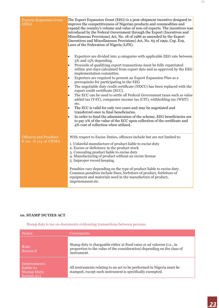| <b>Exports Expansion Grant</b><br>(EEG)               | The Export Expansion Grant (EEG) is a post-shipment incentive designed to<br>improve the competitiveness of Nigerian products and commodities and<br>expand the country's volume and value of non-oil exports. The incentives was<br>introduced by the Federal Government through the Export (Incentives and<br>Miscellaneous Provisions) Act, No. 18 of 1986 as amended by the Export<br>(Incentives and Miscellaneous Provisions) Act, No. 65 of 1992, Cap. E19,<br>Laws of the Federation of Nigeria (LFN).<br>Exporters are divided into 4 categories with applicable EEG rate between<br>5% and 15% depending.<br>Proceeds of qualifying export transactions must be fully repatriated<br>within 300 days calculated from export date and as approved by the EEG<br>implementation committee.<br>Exporters are required to present an Export Expansion Plan as a<br>prerequisite for participating in the EEG<br>The negotiable duty credit certificate (NDCC) has been replaced with the<br>export credit certificate (ECC).<br>The ECC can be used to settle all Federal Government taxes such as value<br>added tax (VAT), companies income tax (CIT), withholding tax (WHT)<br>etc. |
|-------------------------------------------------------|----------------------------------------------------------------------------------------------------------------------------------------------------------------------------------------------------------------------------------------------------------------------------------------------------------------------------------------------------------------------------------------------------------------------------------------------------------------------------------------------------------------------------------------------------------------------------------------------------------------------------------------------------------------------------------------------------------------------------------------------------------------------------------------------------------------------------------------------------------------------------------------------------------------------------------------------------------------------------------------------------------------------------------------------------------------------------------------------------------------------------------------------------------------------------------------------|
|                                                       | The ECC is valid for only two years and may be negotiated and<br>$\bullet$<br>transferred once to final beneficiaries.<br>In order to fund the administration of the scheme, EEG beneficiaries are<br>to pay 2% of the value of the ECC upon collection of the certificate and<br>4% cost of collection when utilised.                                                                                                                                                                                                                                                                                                                                                                                                                                                                                                                                                                                                                                                                                                                                                                                                                                                                       |
| <b>Offences and Penalties</b><br>S 101 -S 114 of CEMA | With respect to Excise Duties, offences include but are not limited to:<br>1. Unlawful manufacture of product liable to excise duty<br>2. Excess or deficiency in the product stock<br>3. Concealing product liable to excise duty<br>4. Manufacturing of product without an excise license<br>5. Improper record keeping.<br>Penalties vary depending on the type of product liable to excise duty.<br>Common penalties include fines, forfeiture of product, forfeiture of<br>equipment and materials used in the manufacture of product,<br>imprisonment etc.                                                                                                                                                                                                                                                                                                                                                                                                                                                                                                                                                                                                                             |

#### **10. STAMP DUTIES ACT**

Stamp duty is tax on documents evidencing transactions between persons.

| <b>Items</b>                                                    | <b>Comments</b>                                                                                                                                                  |
|-----------------------------------------------------------------|------------------------------------------------------------------------------------------------------------------------------------------------------------------|
| Rate<br>Section 8                                               | Stamp duty is chargeable either at fixed rates or ad valorem (i.e., in<br>proportion to the value of the consideration) depending on the class of<br>instrument. |
| Instruments<br>liable to<br><b>Stamp Duty</b><br>Section $2(1)$ | All instruments relating to an act to be performed in Nigeria must be<br>stamped, except such instrument is specifically exempted.                               |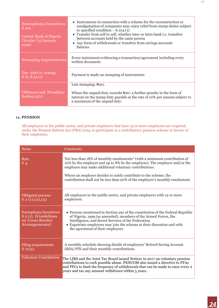| <b>Exemptions/Incentives</b><br>S 104<br>Central Bank of Nigeria<br>Circular (15 January<br>2016) | • Instruments in connection with a scheme for the reconstruction or<br>amalgamation of companies may enjoy relief from stamp duties subject<br>to specified condition $-$ S.104 (1)<br>• Transfer from self to self, whether inter or intra bank i.e. transfers<br>between accounts held by the same person<br>• Any form of withdrawals or transfers from savings accounts<br><b>Salaries</b> |  |
|---------------------------------------------------------------------------------------------------|------------------------------------------------------------------------------------------------------------------------------------------------------------------------------------------------------------------------------------------------------------------------------------------------------------------------------------------------------------------------------------------------|--|
| <b>Stamping requirements</b>                                                                      | Every instrument evidencing a transaction/agreement including every<br>written document.                                                                                                                                                                                                                                                                                                       |  |
| Due date to stamp<br>$S_12, S_23(1)$                                                              | Payment is made on stamping of instruments                                                                                                                                                                                                                                                                                                                                                     |  |
|                                                                                                   | Late stamping: $\text{A}20$ ;                                                                                                                                                                                                                                                                                                                                                                  |  |
| <b>Offences and Penalties</b><br>Section $23(1)$                                                  | Where the unpaid duty exceeds $\forall$ 20: a further penalty in the form of<br>interest on the stamp duty payable at the rate of 10% per annum subject to<br>a maximum of the unpaid duty.                                                                                                                                                                                                    |  |

#### **11. PENSION**

All employers in the public sector, and private employers that have 15 or more employees are required, under the Pension Reform Act (PRA) 2014, to participate in a contributory pension scheme in favour of their employees.

| <b>Items</b>                                                                        | Comments                                                                                                                                                                                                                                                                                                                                                             |
|-------------------------------------------------------------------------------------|----------------------------------------------------------------------------------------------------------------------------------------------------------------------------------------------------------------------------------------------------------------------------------------------------------------------------------------------------------------------|
| Rate<br>$S_4$                                                                       | Not less than 18% of monthly emoluments* (with a minimum contribution of<br>10% by the employer and up to 8% by the employee). The employer and/or the<br>employee may make additional voluntary contributions.<br>Where an employer decides to solely contribute to the scheme, the<br>contribution shall not be less than 20% of the employee's monthly emolument. |
| Obligated persons<br>$S_2(1),(2),(3)$                                               | All employers in the public sector, and private employers with 15 or more<br>employees.                                                                                                                                                                                                                                                                              |
| Exemptions/Incentives<br>$S_5(1)$ , [Guidelines<br>on Cross Border<br>Arrangements] | • Persons mentioned in Section 291 of the constitution of the Federal Republic<br>of Nigeria, 1999 (as amended), members of the Armed Forces, the<br>Intelligence, and Secret Services of the Federation.<br>• Expatriate employees may join the scheme at their discretion and with<br>the agreement of their employers.                                            |
| Filing requirements<br>$S_11(3)$                                                    | A monthly schedule showing details of employees' Retired Saving Account<br>(RSA) PIN and their monthly contributions.                                                                                                                                                                                                                                                |
| <b>Voluntary Contribution</b>                                                       | The LIRS and the Joint Tax Board issued Notices in 2017 on voluntary pension<br>contributions to curb possible abuse. PENCOM also issued a directive to PFAs<br>and PFCs to limit the frequency of withdrawals that can be made to once every 2<br>years and tax any amount withdrawn within 5 years.                                                                |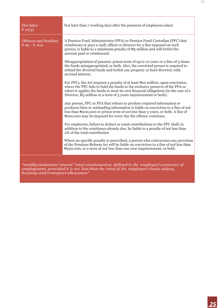| Due dates<br>$S_11(3)$                        | Not later than 7 working days after the payment of employees salary                                                                                                                                                                                                                                                                  |
|-----------------------------------------------|--------------------------------------------------------------------------------------------------------------------------------------------------------------------------------------------------------------------------------------------------------------------------------------------------------------------------------------|
| <b>Offences and Penalties</b><br>S 99 - S 104 | A Pension Fund Administrator (PFA) or Pension Fund Custodian (PFC) that<br>reimburses or pays a staff, officer or director for a fine imposed on such<br>person, is liable to a minimum penalty of $H_5$ million and will forfeit the<br>amount paid or reimbursed.                                                                  |
|                                               | Misappropriation of pension: prison term of up to 10 years or a fine of 3 times<br>the funds misappropriated, or both. Also, the convicted person is required to<br>refund the diverted funds and forfeit any property or fund diverted, with<br>accrued interest.                                                                   |
|                                               | For PFCs, the Act imposes a penalty of at least N10 million, upon conviction,<br>where the PFC fails to hold the funds to the exclusive preserve of the PFA or<br>where it applies the funds to meet its own financial obligations (in the case of a<br>Director, N <sub>5</sub> million or a term of 5 years imprisonment or both). |
|                                               | Any person, PFC or PFA that refuses to produce required information or<br>produces false or misleading information is liable on conviction to a fine of not<br>less than N <sub>2</sub> 00,000 or prison term of not less than 3 years, or both. A fine of<br>Notice only be imposed for every day the offence continues.            |
|                                               | For employers, failure to deduct or remit contributions to the PFC shall, in<br>addition to the remittance already due, be liable to a penalty of not less than<br>2% of the total contribution                                                                                                                                      |
|                                               | Where no specific penalty is prescribed, a person who contravenes any provision<br>of the Pensions Reform Act will be liable on conviction to a fine of not less than<br>N <sub>250</sub> ,000, or a term of not less than one year imprisonment, or both.                                                                           |
|                                               | "monthly emoluments" means" total emolument as defined in the employee's contract of                                                                                                                                                                                                                                                 |

*employment, provided it is not less than the total of the employee's basic salary, housing and transport allowance".*

٦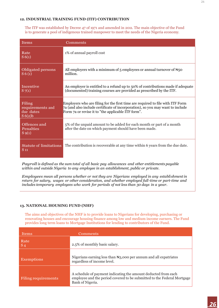#### **12. INDUSTRIAL TRAINING FUND (ITF) CONTRIBUTION**

The ITF was established by Decree 47 of 1971 and amended in 2011. The main objective of the Fund is to generate a pool of indigenous trained manpower to meet the needs of the Nigeria economy.

| <b>Items</b>                                        | Comments                                                                                                                                                                                                               |
|-----------------------------------------------------|------------------------------------------------------------------------------------------------------------------------------------------------------------------------------------------------------------------------|
| Rate<br>S(6(1))                                     | 1% of annual payroll cost                                                                                                                                                                                              |
| <b>Obligated persons</b><br>S 6(1)                  | All employers with a minimum of 5 employees or annual turnover of $\mathbb{H}_5$ o<br>million.                                                                                                                         |
| Incentive<br>$S_{7(1)}$                             | An employer is entitled to a refund up to 50% of contributions made if adequate<br>(documented) training courses are provided as prescribed by the ITF.                                                                |
| Filing<br>requirements and<br>due dates<br>S(6(2)b) | Employers who are filing for the first time are required to file with ITF Form<br>7a (and also include certificate of incorporation), so you may want to include<br>Form 7a or revise it to "the applicable ITF form". |
| Offences and<br>Penalties<br>$S_{9(1)}$             | 5% of the unpaid amount to be added for each month or part of a month<br>after the date on which payment should have been made.                                                                                        |
| $S_{11}$                                            | Statute of limitations The contribution is recoverable at any time within 6 years from the due date.                                                                                                                   |

*Payroll is defined as the sum total of all basic pay allowances and other entitlements payable within and outside Nigeria to any employee in an establishment, public or private.*

*Employees mean all persons whether or not they are Nigerians employed in any establishment in return for salary, wages or other consideration, and whether employed full-time or part-time and includes temporary employees who work for periods of not less than 30 days in a year.*

#### **13. NATIONAL HOUSING FUND (NHF)**

The aims and objectives of the NHF is to provide loans to Nigerians for developing, purchasing or renovating houses and encourage housing finance among low and medium income earners. The Fund provides long term loans to Mortgage Institutions for lending to contributors of the Fund.

| <b>Items</b>        | Comments                                                                                                                                                      |
|---------------------|---------------------------------------------------------------------------------------------------------------------------------------------------------------|
| Rate<br>$S_4$       | 2.5% of monthly basic salary.                                                                                                                                 |
| <b>Exemptions</b>   | Nigerians earning less than $\mathbb{H}$ 3,000 per annum and all expatriates<br>regardless of income level.                                                   |
| Filing requirements | A schedule of payment indicating the amount deducted from each<br>employee and the period covered to be submitted to the Federal Mortgage<br>Bank of Nigeria. |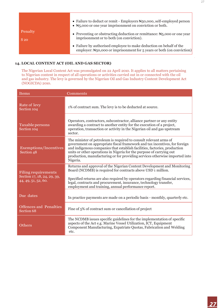|                     | • Failure to deduct or remit - Employers $\mathbb{N}_5$ 0,000, self-employed person<br>• $\mathbb{N}_5$ ,000 or one year imprisonment on conviction or both. |
|---------------------|--------------------------------------------------------------------------------------------------------------------------------------------------------------|
| Penalty<br>$S_{20}$ | • Preventing or obstructing deduction or remittance: $\mathbb{H}_5$ ,000 or one year<br>imprisonment or to both (on conviction).                             |
|                     | • Failure by authorised employee to make deduction on behalf of the<br>employer: $\forall$ 50,000 or imprisonment for 5 years or both (on conviction)        |

#### **14. LOCAL CONTENT ACT (OIL AND GAS SECTOR)**

The Nigerian Local Content Act was promulgated on 22 April 2010. It applies to all matters pertaining to Nigerian content in respect of all operations or activities carried out in or connected with the oil and gas industry. The levy is governed by the Nigerian Oil and Gas Industry Content Development Act (NOGICDA) 2010.

| <b>Items</b>                                                              | Comments                                                                                                                                                                                                                                                                                                                                                                                        |  |
|---------------------------------------------------------------------------|-------------------------------------------------------------------------------------------------------------------------------------------------------------------------------------------------------------------------------------------------------------------------------------------------------------------------------------------------------------------------------------------------|--|
| Rate of levy<br>Section 104                                               | 1% of contract sum. The levy is to be deducted at source.                                                                                                                                                                                                                                                                                                                                       |  |
| Taxable persons<br>Section 104                                            | Operators, contractors, subcontractor, alliance partner or any entity<br>awarding a contract to another entity for the execution of a project,<br>operation, transaction or activity in the Nigerian oil and gas upstream<br>sector.                                                                                                                                                            |  |
| <b>Exemptions/Incentives</b><br>Section 48                                | The minister of petroleum is required to consult relevant arms of<br>government on appropriate fiscal framework and tax incentives, for foreign<br>and indigenous companies that establish facilities, factories, production<br>units or other operations in Nigeria for the purpose of carrying out<br>production, manufacturing or for providing services otherwise imported into<br>Nigeria. |  |
| Filing requirements<br>Section 17, 18, 24, 29, 39,<br>44, 49, 51, 52, 60. | Returns and approval of the Nigerian Content Development and Monitoring<br>Board (NCDMB) is required for contracts above USD 1 million.<br>Specified returns are also required by operators regarding financial services,<br>legal, contracts and procurement, insurance, technology transfer,<br>employment and training, annual performance report.                                           |  |
| Due dates                                                                 | In practice payments are made on a periodic basis - monthly, quarterly etc.                                                                                                                                                                                                                                                                                                                     |  |
| <b>Offences and Penalties</b><br>Section 68                               | Fine of 5% of contract sum or cancellation of project                                                                                                                                                                                                                                                                                                                                           |  |
| <b>Others</b>                                                             | The NCDMB issues specific guidelines for the implementation of specific<br>aspects of the Act e.g. Marine Vessel Utilization, ICT, Equipment<br>Component Manufacturing, Expatriate Quotas, Fabrication and Welding<br>etc.                                                                                                                                                                     |  |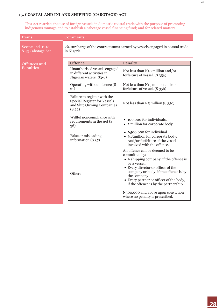#### **15. COASTAL AND INLAND SHIPPING (CABOTAGE) ACT**

This Act restricts the use of foreign vessels in domestic coastal trade with the purpose of promoting indigenous tonnage and to establish a cabotage vessel financing fund; and for related matters.

| Items                               | Comments                                                                                                               |                                                                                                                                                                                                                                                                                                                                                                                     |
|-------------------------------------|------------------------------------------------------------------------------------------------------------------------|-------------------------------------------------------------------------------------------------------------------------------------------------------------------------------------------------------------------------------------------------------------------------------------------------------------------------------------------------------------------------------------|
| Scope and rate<br>S.43 Cabotage Act | in Nigeria.                                                                                                            | 2% surcharge of the contract sums earned by vessels engaged in coastal trade                                                                                                                                                                                                                                                                                                        |
| Offences and                        | Offence                                                                                                                | Penalty                                                                                                                                                                                                                                                                                                                                                                             |
| Penalties                           | Unauthorised vessels engaged<br>in different activities in<br>Nigerian waters (S3-6)                                   | Not less than N10 million and/or<br>forfeiture of vessel. (S 35a)                                                                                                                                                                                                                                                                                                                   |
|                                     | Operating without licence (S<br>(21)                                                                                   | Not less than N15 million and/or<br>forfeiture of vessel. (S 35b)                                                                                                                                                                                                                                                                                                                   |
|                                     | Failure to register with the<br><b>Special Register for Vessels</b><br>and Ship Owning Companies<br>(S <sub>22</sub> ) | Not less than $N_5$ million $(S_{35})$                                                                                                                                                                                                                                                                                                                                              |
|                                     | Willful noncompliance with<br>requirements in the Act (S<br>36)                                                        | • 100,000 for individuals.<br>• 5 million for corporate body                                                                                                                                                                                                                                                                                                                        |
|                                     | False or misleading<br>information $(S_{37})$                                                                          | • N500,000 for individual<br>• Nata Hagmillion for corporate body.<br>And/or forfeiture of the vessel<br>involved with the offence.                                                                                                                                                                                                                                                 |
|                                     | Others                                                                                                                 | An offence can be deemed to be<br>committed by:<br>• A shipping company, if the offence is<br>by a vessel.<br>• Every director or officer of the<br>company or body, if the offence is by<br>the company.<br>• Every partner or officer of the body,<br>if the offence is by the partnership.<br>N <sub>5</sub> 00,000 and above upon conviction<br>where no penalty is prescribed. |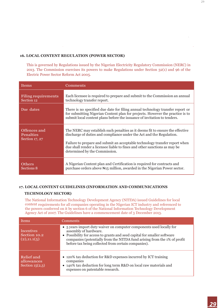#### **16. LOCAL CONTENT REGULATION (POWER SECTOR)**

This is governed by Regulations issued by the Nigerian Electricity Regulatory Commission (NERC) in 2013. The Commission exercises its powers to make Regulations under Section 32(1) and 96 of the Electric Power Sector Reform Act 2005.

| <b>Items</b>                                | Comments                                                                                                                                                                                                                                                                                                                                           |
|---------------------------------------------|----------------------------------------------------------------------------------------------------------------------------------------------------------------------------------------------------------------------------------------------------------------------------------------------------------------------------------------------------|
| Filing requirements<br>Section 12           | Each licensee is required to prepare and submit to the Commission an annual<br>technology transfer report.                                                                                                                                                                                                                                         |
| Due dates                                   | There is no specified due date for filing annual technology transfer report or<br>for submitting Nigerian Content plan for projects. However the practice is to<br>submit local content plans before the issuance of invitation to tenders.                                                                                                        |
| Offences and<br>Penalties<br>Section 17, 27 | The NERC may establish such penalties as it deems fit to ensure the effective<br>discharge of duties and compliance under the Act and the Regulation.<br>Failure to prepare and submit an acceptable technology transfer report when<br>due shall render a licensee liable to fines and other sanctions as may be<br>determined by the Commission. |
| <b>Others</b><br>Sections 8                 | A Nigerian Content plan and Certification is required for contracts and<br>purchase orders above N <sub>15</sub> million, awarded in the Nigerian Power sector.                                                                                                                                                                                    |

#### **17. LOCAL CONTENT GUIDELINES (INFORMATION AND COMMUNICATIONS TECHNOLOGY SECTOR)**

The National Information Technology Development Agency (NITDA) issued Guidelines for local content requirements for all companies operating in the Nigerian ICT industry and referenced to the powers conferred on it by section 6 of the National Information Technology Development Agency Act of 2007. The Guidelines have a commencement date of 3 December 2013.

| <b>Items</b>                                  | Comments                                                                                                                                                                                                                                                                                                     |
|-----------------------------------------------|--------------------------------------------------------------------------------------------------------------------------------------------------------------------------------------------------------------------------------------------------------------------------------------------------------------|
| Incentives<br>Section 10.2<br>(2), 11.1(5)    | • 5 years import duty waiver on computer components used locally for<br>assembly of hardware.<br>• Possibility for access to grants and seed capital for smaller software<br>companies (potentially from the NITDA fund arising from the 1% of profit<br>before tax being collected from certain companies). |
| Relief and<br>allowances<br>Section $15(2,3)$ | • 120% tax deduction for R&D expenses incurred by ICT training<br>companies<br>• 140% tax deduction for long term R&D on local raw materials and<br>expenses on patentable research.                                                                                                                         |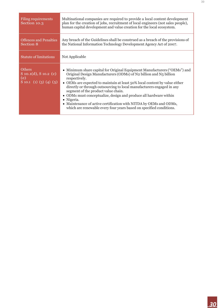| Filing requirements<br>Section 10.3                                         | Multinational companies are required to provide a local content development<br>plan for the creation of jobs, recruitment of local engineers (not sales people),<br>human capital development and value creation for the local ecosystem.                                                                                                                                                                                                                                                                                                                                                     |  |
|-----------------------------------------------------------------------------|-----------------------------------------------------------------------------------------------------------------------------------------------------------------------------------------------------------------------------------------------------------------------------------------------------------------------------------------------------------------------------------------------------------------------------------------------------------------------------------------------------------------------------------------------------------------------------------------------|--|
| <b>Offences and Penalties</b><br>Section 8                                  | Any breach of the Guidelines shall be construed as a breach of the provisions of<br>the National Information Technology Development Agency Act of 2007.                                                                                                                                                                                                                                                                                                                                                                                                                                       |  |
| <b>Statute of limitations</b>                                               | Not Applicable                                                                                                                                                                                                                                                                                                                                                                                                                                                                                                                                                                                |  |
| <b>Others</b><br>$S$ 10.1(d), $S$ 10.2 (c)<br>(e)<br>S 10.1 (1) (3) (4) (5) | • Minimum share capital for Original Equipment Manufacturers ("OEMs") and<br>Original Design Manufacturers (ODMs) of N2 billion and N5 billion<br>respectively.<br>• OEMs are expected to maintain at least 50% local content by value either<br>directly or through outsourcing to local manufacturers engaged in any<br>segment of the product value chain.<br>• ODMs must conceptualize, design and produce all hardware within<br>• Nigeria.<br>• Maintenance of active certification with NITDA by OEMs and ODMs,<br>which are renewable every four years based on specified conditions. |  |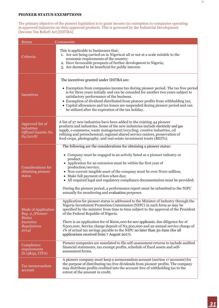#### **PIONEER STATUS EXEMPTIONS**

The primary objective of the pioneer legislation is to grant income tax exemption to companies operating in approved industries on their approved products. This is governed by the Industrial Development (Income Tax Relief) Act [IDITRA]

| Items                                                                                               | Comments                                                                                                                                                                                                                                                                                                                                                                                                                                                                                                                                                                                         |
|-----------------------------------------------------------------------------------------------------|--------------------------------------------------------------------------------------------------------------------------------------------------------------------------------------------------------------------------------------------------------------------------------------------------------------------------------------------------------------------------------------------------------------------------------------------------------------------------------------------------------------------------------------------------------------------------------------------------|
| Criteria                                                                                            | This is applicable to businesses that;<br>1. Are not being carried on in Nigeria at all or not at a scale suitable to the<br>economic requirements of the country;<br>2. Have favourable prospects of further development in Nigeria;<br>3. Are deemed to be beneficial for public interest.                                                                                                                                                                                                                                                                                                     |
| Incentives                                                                                          | The incentives granted under IDITRA are:<br>• Exemption from companies income tax during pioneer period. The tax free period<br>is for three years initially and can be extended for another two years subject to<br>satisfactory performance of the business.<br>• Exemption of dividend distributed from pioneer profits from withholding tax;<br>• Capital allowances and tax losses are suspended during pioneer period and can<br>be utilized after the expiration of the tax holiday.                                                                                                      |
| Approved list of<br>industries<br>Official Gazette No.<br>84 (2018)                                 | A list of 27 new industries have been added to the existing 44 pioneer<br>products and industries. Some of the new industries include electricity and gas<br>supply, e-commerce, waste management/recycling; creative industries, oil<br>refining and petrochemical; regional shared service centers, preservation of<br>food crops, photography, and real estate investment trusts (REITs).                                                                                                                                                                                                     |
| Considerations for<br>obtaining pioneer<br>status                                                   | The following are the considerations for obtaining a pioneer status:<br>• Company must be engaged in an activity listed as a pioneer industry or<br>product;<br>• Application for an extension must be within the first year of<br>production/service;<br>• Non-current tangible asset of the company must be over N100 million;<br>• Make full payment of fees when due;<br>• All required legal and regulatory compliance documentation must be provided;<br>During the pioneer period, a performance report must be submitted to the NIPC<br>annually for monitoring and evaluation purposes. |
| Mode of Application<br>Reg. 2, [Pioneer<br><b>Status</b><br><i>Incentive</i><br>Regulations<br>2014 | Application for pioneer status is addressed to the Minister of Industry through the<br>Nigeria Investment Promotion Commission (NIPC) in such form as may be<br>specified by the minister from time to time subject to the approval of the President<br>of the Federal Republic of Nigeria.<br>There is an application fee of N200,000 for new applicants, due diligence fee of<br>N500,000, Service charge deposit of N2,500,000 and an annual service charge of<br>1% of actual tax savings payable to the NIPC no later than 30 June (for all<br>applications received from 7 August 2017).   |
| Compliance<br>requirements<br>(S.15&55, CITA)                                                       | Pioneer companies are mandated to file self-assessment returns to include audited<br>financial statements, tax exempt profits, schedule of fixed assets and self-<br>assessment forms.                                                                                                                                                                                                                                                                                                                                                                                                           |
| Tax memorandum<br>account                                                                           | A pioneer company must keep a memorandum account (section 17 accounts) for<br>the purpose of distributing tax free dividends from pioneer profits. The company<br>may distribute profits credited into the account free of withholding tax to the<br>extent of the amount in credit.                                                                                                                                                                                                                                                                                                             |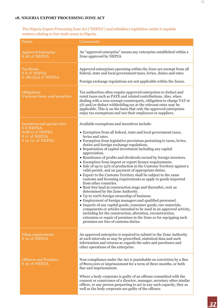The Nigeria Export Processing Zone Act ("NEPZA") and subsidiary legislation under it regulate matters relating to free trade zones in Nigeria.

| <b>Items</b>                                                                                                            | Comments                                                                                                                                                                                                                                                                                                                                                                                                                                                                                                                                                                                                                                                                                                                                                                                                                                                                                                                                                                                                                                                                                                                                                                                                                                                                                                    |  |
|-------------------------------------------------------------------------------------------------------------------------|-------------------------------------------------------------------------------------------------------------------------------------------------------------------------------------------------------------------------------------------------------------------------------------------------------------------------------------------------------------------------------------------------------------------------------------------------------------------------------------------------------------------------------------------------------------------------------------------------------------------------------------------------------------------------------------------------------------------------------------------------------------------------------------------------------------------------------------------------------------------------------------------------------------------------------------------------------------------------------------------------------------------------------------------------------------------------------------------------------------------------------------------------------------------------------------------------------------------------------------------------------------------------------------------------------------|--|
| <b>Approved Enterprise</b><br>S 28 of NEPZA                                                                             | An "approved enterprise" means any enterprise established within a<br>Zone approved by NEPZA                                                                                                                                                                                                                                                                                                                                                                                                                                                                                                                                                                                                                                                                                                                                                                                                                                                                                                                                                                                                                                                                                                                                                                                                                |  |
| <b>Tax Status</b><br>S 8 of NEPZA<br>$S_18(1)(a)$ of NEPZA                                                              | Approved enterprises operating within the Zone are exempt from all<br>federal, state and local government taxes, levies, duties and rates.<br>Foreign exchange regulations are not applicable within the Zones.                                                                                                                                                                                                                                                                                                                                                                                                                                                                                                                                                                                                                                                                                                                                                                                                                                                                                                                                                                                                                                                                                             |  |
| Obligations<br>Various laws and practice                                                                                | Tax authorities often require approved enterprises to deduct and<br>remit taxes such as PAYE and related contributions. Also, when<br>dealing with a non-exempt counterparty, obligation to charge VAT at<br>5% and/or deduct withholding tax at the relevant rates may be<br>applicable. This is on the basis that only the approved enterprises<br>enjoy tax exemptions and not their employees or suppliers.                                                                                                                                                                                                                                                                                                                                                                                                                                                                                                                                                                                                                                                                                                                                                                                                                                                                                             |  |
| Incentives and special rules<br><b>S 8 NEPZA</b><br>$S_18(1)$ of NEPZA<br>S <sub>17</sub> of NEPZA<br>S 12 (1) of NEPZA | Available exemptions and incentives include:<br>• Exemption from all federal, state and local government taxes,<br>levies and rates.<br>• Exemption from legislative provisions pertaining to taxes, levies,<br>duties and foreign exchange regulations.<br>• Repatriation of capital investment including any capital<br>appreciation.<br>• Remittance of profits and dividends earned by foreign investors.<br>• Exemption from import or export licence requirements.<br>• Sale of up to 25% of production in the Customs Territory against a<br>valid permit, and on payment of appropriate duties.<br>• Export to the Customs Territory shall be subject to the same<br>customs and licensing requirements as apply to goods imported<br>from other countries.<br>• Rent free land at construction stage and thereafter, rent as<br>determined by the Zone Authority.<br>• Up to 100% foreign ownership of business.<br>• Employment of foreign managers and qualified personnel.<br>• Imports of any capital goods, consumer goods, raw materials,<br>components or articles intended to be used in an approved activity,<br>including for the construction, alteration, reconstruction,<br>extension or repair of premises in the Zone or for equipping such<br>premises are free of customs duties. |  |
| <b>Filing requirements</b><br>S 19 of NEPZA                                                                             | An approved enterprise is required to submit to the Zone Authority<br>at such intervals as may be prescribed, statistical data and such<br>information and returns as regards the sales and purchases and<br>other operations of the enterprise.                                                                                                                                                                                                                                                                                                                                                                                                                                                                                                                                                                                                                                                                                                                                                                                                                                                                                                                                                                                                                                                            |  |
| <b>Offences and Penalties</b><br>S 25 of NEPZA                                                                          | Non-compliance under the Act is punishable on conviction by a fine<br>of N100,000 or imprisonment for a term of three months, or both<br>fine and imprisonment.<br>Where a body corporate is guilty of an offense committed with the<br>consent or connivance of a director, manager, secretary other similar<br>officer, or any person purporting to act in any such capacity, they as<br>well as the body corporate are guilty of the offence.                                                                                                                                                                                                                                                                                                                                                                                                                                                                                                                                                                                                                                                                                                                                                                                                                                                            |  |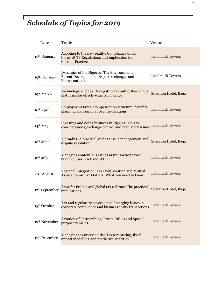# *Schedule of Topics for 2019*

| Date                       | Topic                                                                                                                    | Venue                  |
|----------------------------|--------------------------------------------------------------------------------------------------------------------------|------------------------|
| 15 <sup>th</sup> January   | Adopting to the new reality: Compliance under<br>the 2018 TP Regulations and implication for<br><b>Current Practices</b> | <b>Landmark Towers</b> |
| 19 <sup>th</sup> February  | Dynamics of the Nigerian Tax Environment:<br>Recent Developments, Expected changes and<br>Future outlook                 | <b>Landmark Towers</b> |
| 19 <sup>th</sup> March     | Technology and Tax: Navigating tax authorities' digital<br>platforms for effective tax compliance                        | Sheraton Hotel, Ikeja  |
| 16 <sup>th</sup> April     | <b>Employment taxes: Compensation structure, benefits</b><br>planning and compliance considerations                      | <b>Landmark Towers</b> |
| 14 <sup>th</sup> May       | Investing and doing business in Nigeria: Key tax<br>considerations, exchange control and regulatory issues               | <b>Landmark Towers</b> |
| 18 <sup>th</sup> June      | TP Audits: A practical guide to issue management and<br>dispute resolution                                               | Sheraton Hotel, Ikeja  |
| $16th$ July                | Managing contentious issues in transaction taxes:<br>Stamp duties, VAT and WHT                                           | <b>Landmark Towers</b> |
| 20 <sup>th</sup> August    | Regional Integration, Tax Collaboration and Mutual<br>Assistance on Tax Matters: What you need to know                   | <b>Landmark Towers</b> |
| 17 <sup>th</sup> September | Transfer Pricing and global tax reforms: The practical<br>implications                                                   | Sheraton Hotel, Ikeja  |
| 15 <sup>th</sup> October   | Tax and regulatory governance: Emerging issues in<br>corporate compliance and business entity transactions               | <b>Landmark Towers</b> |
| 19th November              | Taxation of Partnerships, Trusts, NGOs and Special<br>purpose vehicles                                                   | <b>Landmark Towers</b> |
| 17th December              | Managing tax uncertainties Tax forecasting, fiscal<br>impact modelling and predictive analytics                          | <b>Landmark Towers</b> |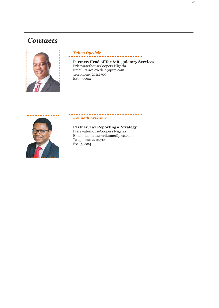# *Contacts*

 $\sqrt{ }$ 



#### \_\_\_\_\_\_\_\_\_\_\_\_\_ *Taiwo Oyedele*

**Partner/Head of Tax & Regulatory Services** PricewaterhouseCoopers Nigeria Email: taiwo.oyedele@pwc.com Telephone: 27112700 Ext: 50002

------------



# *Kenneth Erikume*

---------------

**Partner, Tax Reporting & Strategy** PricewaterhouseCoopers Nigeria Email: kenneth.y.erikume@pwc.com Telephone: 27112700 Ext: 50004